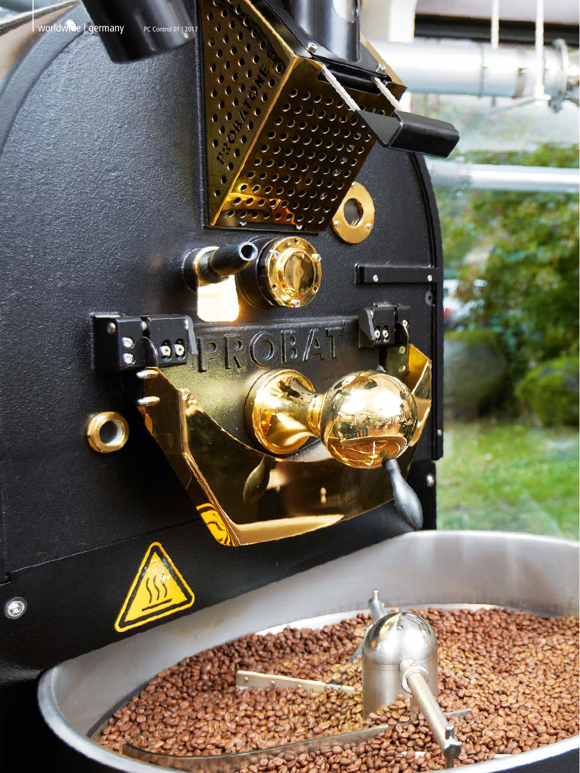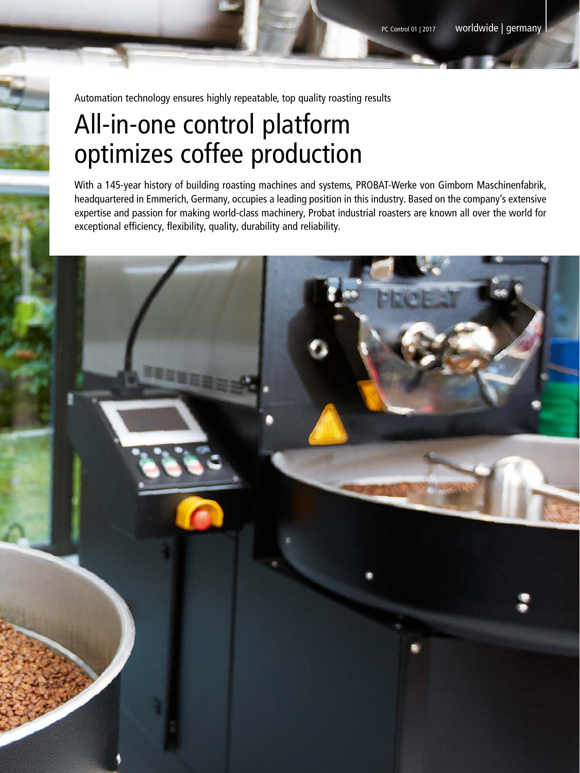Automation technology ensures highly repeatable, top quality roasting results

## All-in-one control platform optimizes coffee production

With a 145-year history of building roasting machines and systems, PROBAT-Werke von Gimborn Maschinenfabrik, headquartered in Emmerich, Germany, occupies a leading position in this industry. Based on the company's extensive expertise and passion for making world-class machinery, Probat industrial roasters are known all over the world for exceptional efficiency, flexibility, quality, durability and reliability.

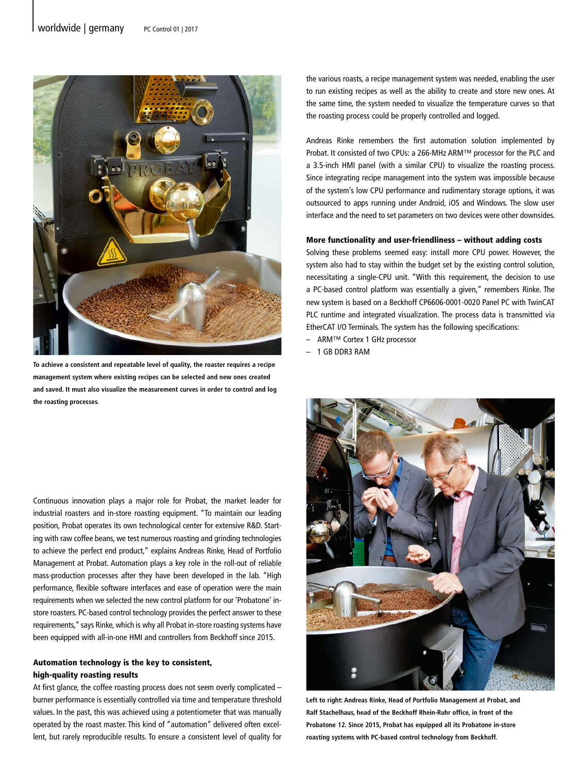

**To achieve a consistent and repeatable level of quality, the roaster requires a recipe management system where existing recipes can be selected and new ones created and saved. It must also visualize the measurement curves in order to control and log the roasting processes.** 

the various roasts, a recipe management system was needed, enabling the user to run existing recipes as well as the ability to create and store new ones. At the same time, the system needed to visualize the temperature curves so that the roasting process could be properly controlled and logged.

Andreas Rinke remembers the first automation solution implemented by Probat. It consisted of two CPUs: a 266-MHz ARM™ processor for the PLC and a 3.5-inch HMI panel (with a similar CPU) to visualize the roasting process. Since integrating recipe management into the system was impossible because of the system's low CPU performance and rudimentary storage options, it was outsourced to apps running under Android, iOS and Windows. The slow user interface and the need to set parameters on two devices were other downsides.

## More functionality and user-friendliness – without adding costs

Solving these problems seemed easy: install more CPU power. However, the system also had to stay within the budget set by the existing control solution, necessitating a single-CPU unit. "With this requirement, the decision to use a PC-based control platform was essentially a given," remembers Rinke. The new system is based on a Beckhoff CP6606-0001-0020 Panel PC with TwinCAT PLC runtime and integrated visualization. The process data is transmitted via EtherCAT I/O Terminals. The system has the following specifications:

- ARM™ Cortex 1 GHz processor
- 1 GB DDR3 RAM

Continuous innovation plays a major role for Probat, the market leader for industrial roasters and in-store roasting equipment. "To maintain our leading position, Probat operates its own technological center for extensive R&D. Starting with raw coffee beans, we test numerous roasting and grinding technologies to achieve the perfect end product," explains Andreas Rinke, Head of Portfolio Management at Probat. Automation plays a key role in the roll-out of reliable mass-production processes after they have been developed in the lab. "High performance, flexible software interfaces and ease of operation were the main requirements when we selected the new control platform for our 'Probatone' instore roasters. PC-based control technology provides the perfect answer to these requirements," says Rinke, which is why all Probat in-store roasting systems have been equipped with all-in-one HMI and controllers from Beckhoff since 2015.

## Automation technology is the key to consistent, high-quality roasting results

At first glance, the coffee roasting process does not seem overly complicated – burner performance is essentially controlled via time and temperature threshold values. In the past, this was achieved using a potentiometer that was manually operated by the roast master. This kind of "automation" delivered often excellent, but rarely reproducible results. To ensure a consistent level of quality for



**Left to right: Andreas Rinke, Head of Portfolio Management at Probat, and Ralf Stachelhaus, head of the Beckhoff Rhein-Ruhr office, in front of the Probatone 12. Since 2015, Probat has equipped all its Probatone in-store roasting systems with PC-based control technology from Beckhoff.**